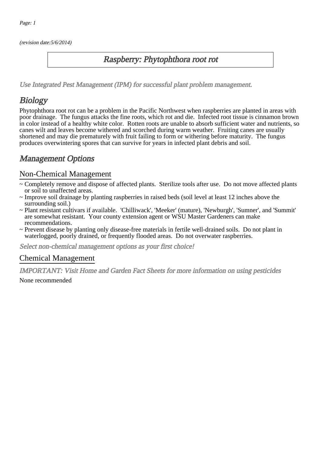(revision date:5/6/2014)

## Raspberry: Phytophthora root rot

[Use Integrated Pest Management \(IPM\) for successful plant problem management.](http://pep.wsu.edu/Home_Garden/H_G_Pesticide_info/urban_Integrated_Pest_Managmen/)

# **Biology**

Phytophthora root rot can be a problem in the Pacific Northwest when raspberries are planted in areas with poor drainage. The fungus attacks the fine roots, which rot and die. Infected root tissue is cinnamon brown in color instead of a healthy white color. Rotten roots are unable to absorb sufficient water and nutrients, so canes wilt and leaves become withered and scorched during warm weather. Fruiting canes are usually shortened and may die prematurely with fruit failing to form or withering before maturity. The fungus produces overwintering spores that can survive for years in infected plant debris and soil.

## Management Options

#### Non-Chemical Management

- ~ Completely remove and dispose of affected plants. Sterilize tools after use. Do not move affected plants or soil to unaffected areas.
- ~ Improve soil drainage by planting raspberries in raised beds (soil level at least 12 inches above the surrounding soil.)
- ~ Plant resistant cultivars if available. 'Chilliwack', 'Meeker' (mature), 'Newburgh', 'Sumner', and 'Summit' are somewhat resistant. Your county extension agent or WSU Master Gardeners can make recommendations.
- ~ Prevent disease by planting only disease-free materials in fertile well-drained soils. Do not plant in waterlogged, poorly drained, or frequently flooded areas. Do not overwater raspberries.

Select non-chemical management options as your first choice!

#### Chemical Management

IMPORTANT: [Visit Home and Garden Fact Sheets for more information on using pesticides](http://pep.wsu.edu/Home_Garden/H_G_Pesticide_info/)

None recommended